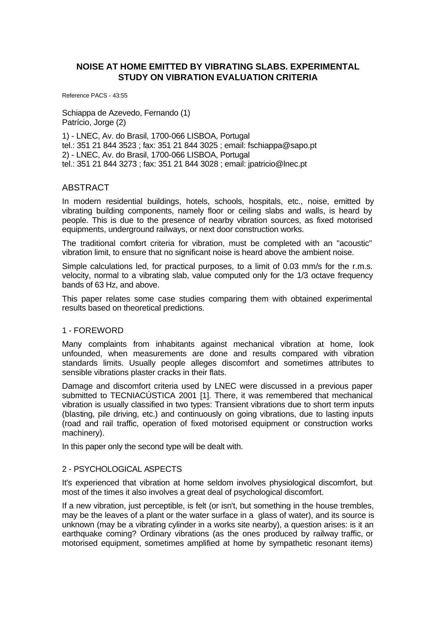# **NOISE AT HOME EMITTED BY VIBRATING SLABS. EXPERIMENTAL STUDY ON VIBRATION EVALUATION CRITERIA**

Reference PACS - 43:55

Schiappa de Azevedo, Fernando (1) Patrício, Jorge (2)

1) - LNEC, Av. do Brasil, 1700-066 LISBOA, Portugal tel.: 351 21 844 3523 ; fax: 351 21 844 3025 ; email: fschiappa@sapo.pt 2) - LNEC, Av. do Brasil, 1700-066 LISBOA, Portugal tel.: 351 21 844 3273 ; fax: 351 21 844 3028 ; email: jpatricio@lnec.pt

#### ABSTRACT

In modern residential buildings, hotels, schools, hospitals, etc., noise, emitted by vibrating building components, namely floor or ceiling slabs and walls, is heard by people. This is due to the presence of nearby vibration sources, as fixed motorised equipments, underground railways, or next door construction works.

The traditional comfort criteria for vibration, must be completed with an "acoustic" vibration limit, to ensure that no significant noise is heard above the ambient noise.

Simple calculations led, for practical purposes, to a limit of 0.03 mm/s for the r.m.s. velocity, normal to a vibrating slab, value computed only for the 1/3 octave frequency bands of 63 Hz, and above.

This paper relates some case studies comparing them with obtained experimental results based on theoretical predictions.

#### 1 - FOREWORD

Many complaints from inhabitants against mechanical vibration at home, look unfounded, when measurements are done and results compared with vibration standards limits. Usually people alleges discomfort and sometimes attributes to sensible vibrations plaster cracks in their flats.

Damage and discomfort criteria used by LNEC were discussed in a previous paper submitted to TECNIACÚSTICA 2001 [1]. There, it was remembered that mechanical vibration is usually classified in two types: Transient vibrations due to short term inputs (blasting, pile driving, etc.) and continuously on going vibrations, due to lasting inputs (road and rail traffic, operation of fixed motorised equipment or construction works machinery).

In this paper only the second type will be dealt with.

#### 2 - PSYCHOLOGICAL ASPECTS

It's experienced that vibration at home seldom involves physiological discomfort, but most of the times it also involves a great deal of psychological discomfort.

If a new vibration, just perceptible, is felt (or isn't, but something in the house trembles, may be the leaves of a plant or the water surface in a glass of water), and its source is unknown (may be a vibrating cylinder in a works site nearby), a question arises: is it an earthquake coming? Ordinary vibrations (as the ones produced by railway traffic, or motorised equipment, sometimes amplified at home by sympathetic resonant items)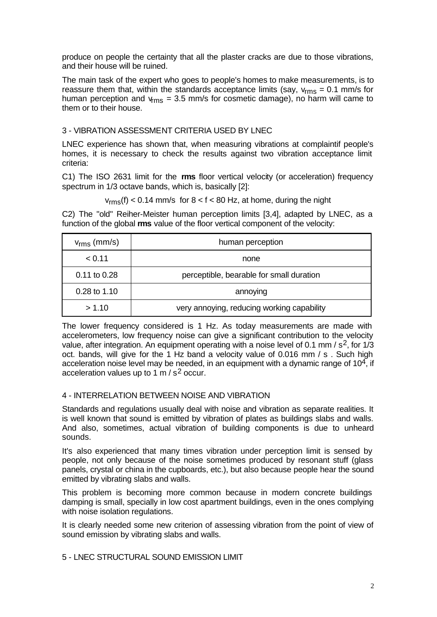produce on people the certainty that all the plaster cracks are due to those vibrations, and their house will be ruined.

The main task of the expert who goes to people's homes to make measurements, is to reassure them that, within the standards acceptance limits (say,  $v_{\rm rms} = 0.1$  mm/s for human perception and  $v_{\rm rms}$  = 3.5 mm/s for cosmetic damage), no harm will came to them or to their house.

## 3 - VIBRATION ASSESSMENT CRITERIA USED BY LNEC

LNEC experience has shown that, when measuring vibrations at complaintif people's homes, it is necessary to check the results against two vibration acceptance limit criteria:

C1) The ISO 2631 limit for the **rms** floor vertical velocity (or acceleration) frequency spectrum in 1/3 octave bands, which is, basically [2]:

 $v_{\rm rms}(f)$  < 0.14 mm/s for  $8 < f < 80$  Hz, at home, during the night

C2) The "old" Reiher-Meister human perception limits [3,4], adapted by LNEC, as a function of the global **rms** value of the floor vertical component of the velocity:

| $v_{\rm rms}$ (mm/s) | human perception                           |  |  |
|----------------------|--------------------------------------------|--|--|
| < 0.11               | none                                       |  |  |
| 0.11 to 0.28         | perceptible, bearable for small duration   |  |  |
| 0.28 to 1.10         | annoying                                   |  |  |
| > 1.10               | very annoying, reducing working capability |  |  |

The lower frequency considered is 1 Hz. As today measurements are made with accelerometers, low frequency noise can give a significant contribution to the velocity value, after integration. An equipment operating with a noise level of 0.1 mm /  $s^2$ , for 1/3 oct. bands, will give for the 1 Hz band a velocity value of 0.016 mm / s . Such high acceleration noise level may be needed, in an equipment with a dynamic range of  $10<sup>4</sup>$ , if acceleration values up to 1  $\text{m/s}^2$  occur.

## 4 - INTERRELATION BETWEEN NOISE AND VIBRATION

Standards and regulations usually deal with noise and vibration as separate realities. It is well known that sound is emitted by vibration of plates as buildings slabs and walls. And also, sometimes, actual vibration of building components is due to unheard sounds.

It's also experienced that many times vibration under perception limit is sensed by people, not only because of the noise sometimes produced by resonant stuff (glass panels, crystal or china in the cupboards, etc.), but also because people hear the sound emitted by vibrating slabs and walls.

This problem is becoming more common because in modern concrete buildings damping is small, specially in low cost apartment buildings, even in the ones complying with noise isolation regulations.

It is clearly needed some new criterion of assessing vibration from the point of view of sound emission by vibrating slabs and walls.

5 - LNEC STRUCTURAL SOUND EMISSION LIMIT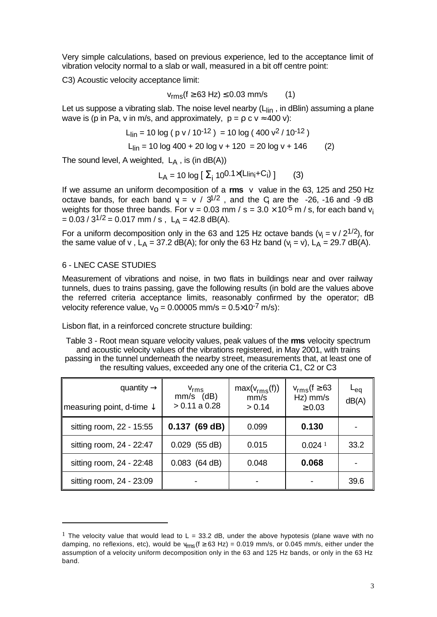Very simple calculations, based on previous experience, led to the acceptance limit of vibration velocity normal to a slab or wall, measured in a bit off centre point:

C3) Acoustic velocity acceptance limit:

$$
v_{\rm rms}(f \geq 63 \text{ Hz}) \leq 0.03 \text{ mm/s} \qquad (1)
$$

Let us suppose a vibrating slab. The noise level nearby ( $L_{lin}$ , in dBlin) assuming a plane wave is (p in Pa, v in m/s, and approximately,  $p = \rho c v \approx 400 v$ ):

$$
L_{\text{lin}} = 10 \log (p \text{ v} / 10^{-12}) = 10 \log (400 \text{ v}^2 / 10^{-12})
$$
  

$$
L_{\text{lin}} = 10 \log 400 + 20 \log \text{ v} + 120 = 20 \log \text{ v} + 146
$$
 (2)

The sound level, A weighted,  $L_A$ , is (in  $dB(A)$ )

$$
L_A = 10 \log \left[ \sum_{i} 10^{0.1 \times (L \text{lin}_i + C_i)} \right] \tag{3}
$$

If we assume an uniform decomposition of a **rms** v value in the 63, 125 and 250 Hz octave bands, for each band  $y = v / 3^{1/2}$ , and the G are the -26, -16 and -9 dB weights for those three bands. For  $v = 0.03$  mm / s =  $3.0 \times 10^{-5}$  m / s, for each band  $v_i$  $= 0.03 / 3^{1/2} = 0.017$  mm / s, L<sub>A</sub> = 42.8 dB(A).

For a uniform decomposition only in the 63 and 125 Hz octave bands ( $v_i = v / 2^{1/2}$ ), for the same value of v , L<sub>A</sub> = 37.2 dB(A); for only the 63 Hz band ( $v_i$  = v), L<sub>A</sub> = 29.7 dB(A).

#### 6 - LNEC CASE STUDIES

l

Measurement of vibrations and noise, in two flats in buildings near and over railway tunnels, dues to trains passing, gave the following results (in bold are the values above the referred criteria acceptance limits, reasonably confirmed by the operator; dB velocity reference value,  $v_0 = 0.00005$  mm/s =  $0.5 \times 10^{-7}$  m/s):

Lisbon flat, in a reinforced concrete structure building:

Table 3 - Root mean square velocity values, peak values of the **rms** velocity spectrum and acoustic velocity values of the vibrations registered, in May 2001, with trains passing in the tunnel underneath the nearby street, measurements that, at least one of the resulting values, exceeded any one of the criteria C1, C2 or C3

| quantity $\rightarrow$<br> measuring point, d-time $\downarrow$ | $V_{\rm rms}$<br>$mm/s$ (dB)<br>$> 0.11$ a 0.28 | $max(v_{rms}(f))$<br>mm/s<br>> 0.14 | $v_{\rm rms}$ (f $\geq$ 63<br>Hz) mm/s<br>$\geq 0.03$ | $L_{eq}$<br>dB(A) |
|-----------------------------------------------------------------|-------------------------------------------------|-------------------------------------|-------------------------------------------------------|-------------------|
| sitting room, 22 - 15:55                                        | $0.137$ (69 dB)                                 | 0.099                               | 0.130                                                 |                   |
| sitting room, 24 - 22:47                                        | $0.029$ (55 dB)                                 | 0.015                               | 0.024 <sup>1</sup>                                    | 33.2              |
| sitting room, 24 - 22:48                                        | $0.083$ (64 dB)                                 | 0.048                               | 0.068                                                 |                   |
| sitting room, 24 - 23:09                                        |                                                 |                                     |                                                       | 39.6              |

<sup>&</sup>lt;sup>1</sup> The velocity value that would lead to L = 33.2 dB, under the above hypotesis (plane wave with no damping, no reflexions, etc), would be  $v_{rms}$  (f  $\geq$  63 Hz) = 0.019 mm/s, or 0.045 mm/s, either under the assumption of a velocity uniform decomposition only in the 63 and 125 Hz bands, or only in the 63 Hz band.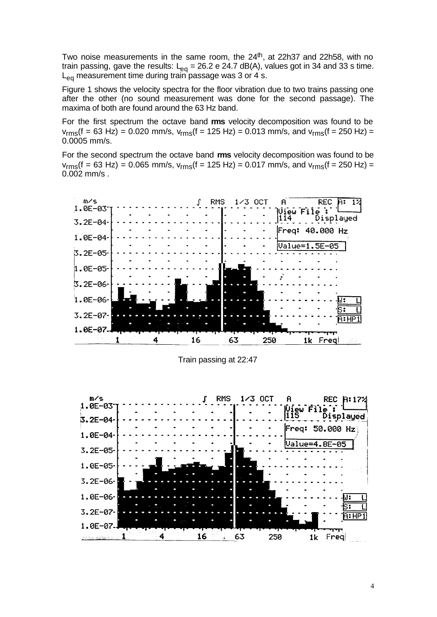Two noise measurements in the same room, the 24<sup>th</sup>, at 22h37 and 22h58, with no train passing, gave the results:  $L_{eq}$  = 26.2 e 24.7 dB(A), values got in 34 and 33 s time.  $L_{eq}$  measurement time during train passage was 3 or 4 s.

Figure 1 shows the velocity spectra for the floor vibration due to two trains passing one after the other (no sound measurement was done for the second passage). The maxima of both are found around the 63 Hz band.

For the first spectrum the octave band **rms** velocity decomposition was found to be  $v_{rms}(f = 63 \text{ Hz}) = 0.020 \text{ mm/s}, v_{rms}(f = 125 \text{ Hz}) = 0.013 \text{ mm/s}, \text{ and } v_{rms}(f = 250 \text{ Hz}) =$ 0.0005 mm/s.

For the second spectrum the octave band **rms** velocity decomposition was found to be  $v_{rms}(f = 63 \text{ Hz}) = 0.065 \text{ mm/s}, v_{rms}(f = 125 \text{ Hz}) = 0.017 \text{ mm/s}, \text{ and } v_{rms}(f = 250 \text{ Hz}) =$ 0.002 mm/s .



Train passing at 22:47

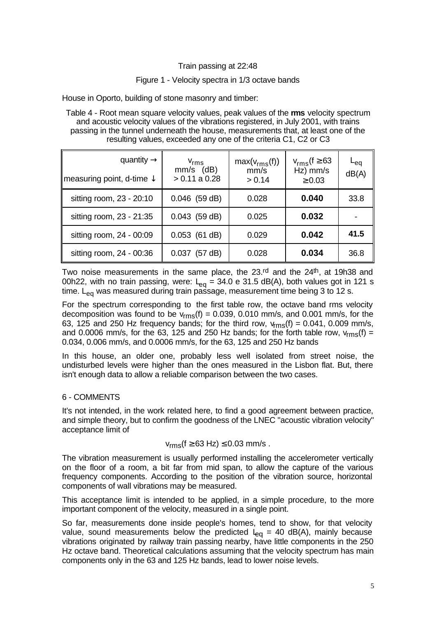## Train passing at 22:48

### Figure 1 - Velocity spectra in 1/3 octave bands

House in Oporto, building of stone masonry and timber:

Table 4 - Root mean square velocity values, peak values of the **rms** velocity spectrum and acoustic velocity values of the vibrations registered, in July 2001, with trains passing in the tunnel underneath the house, measurements that, at least one of the resulting values, exceeded any one of the criteria C1, C2 or C3

| quantity $\rightarrow$<br>measuring point, d-time $\downarrow$ | $V_{rms}$<br>$mm/s$ (dB)<br>$> 0.11$ a 0.28 | $max(v_{rms}(f))$<br>mm/s<br>> 0.14 | $v_{\rm rms}$ (f $\geq$ 63<br>Hz) mm/s<br>$\geq 0.03$ | $L_{eq}$<br>dB(A) |
|----------------------------------------------------------------|---------------------------------------------|-------------------------------------|-------------------------------------------------------|-------------------|
| sitting room, 23 - 20:10                                       | $0.046$ (59 dB)                             | 0.028                               | 0.040                                                 | 33.8              |
| sitting room, 23 - 21:35                                       | $0.043$ (59 dB)                             | 0.025                               | 0.032                                                 |                   |
| sitting room, 24 - 00:09                                       | $0.053$ (61 dB)                             | 0.029                               | 0.042                                                 | 41.5              |
| sitting room, 24 - 00:36                                       | (57 dB)<br>0.037                            | 0.028                               | 0.034                                                 | 36.8              |

Two noise measurements in the same place, the 23.<sup>rd</sup> and the 24<sup>th</sup>, at 19h38 and 00h22, with no train passing, were:  $L_{eq} = 34.0$  e 31.5 dB(A), both values got in 121 s time. L<sub>eq</sub> was measured during train passage, measurement time being 3 to 12 s.

For the spectrum corresponding to the first table row, the octave band rms velocity decomposition was found to be  $v_{\text{rms}}(f) = 0.039$ , 0.010 mm/s, and 0.001 mm/s, for the 63, 125 and 250 Hz frequency bands; for the third row,  $v_{\text{rms}}(f) = 0.041$ , 0.009 mm/s, and 0.0006 mm/s, for the 63, 125 and 250 Hz bands; for the forth table row,  $v_{\text{rms}}(f)$  = 0.034, 0.006 mm/s, and 0.0006 mm/s, for the 63, 125 and 250 Hz bands

In this house, an older one, probably less well isolated from street noise, the undisturbed levels were higher than the ones measured in the Lisbon flat. But, there isn't enough data to allow a reliable comparison between the two cases.

## 6 - COMMENTS

It's not intended, in the work related here, to find a good agreement between practice, and simple theory, but to confirm the goodness of the LNEC "acoustic vibration velocity" acceptance limit of

$$
v_{rms}(f \geq 63 Hz) \leq 0.03 mm/s.
$$

The vibration measurement is usually performed installing the accelerometer vertically on the floor of a room, a bit far from mid span, to allow the capture of the various frequency components. According to the position of the vibration source, horizontal components of wall vibrations may be measured.

This acceptance limit is intended to be applied, in a simple procedure, to the more important component of the velocity, measured in a single point.

So far, measurements done inside people's homes, tend to show, for that velocity value, sound measurements below the predicted  $L_{eq} = 40$  dB(A), mainly because vibrations originated by railway train passing nearby, have little components in the 250 Hz octave band. Theoretical calculations assuming that the velocity spectrum has main components only in the 63 and 125 Hz bands, lead to lower noise levels.